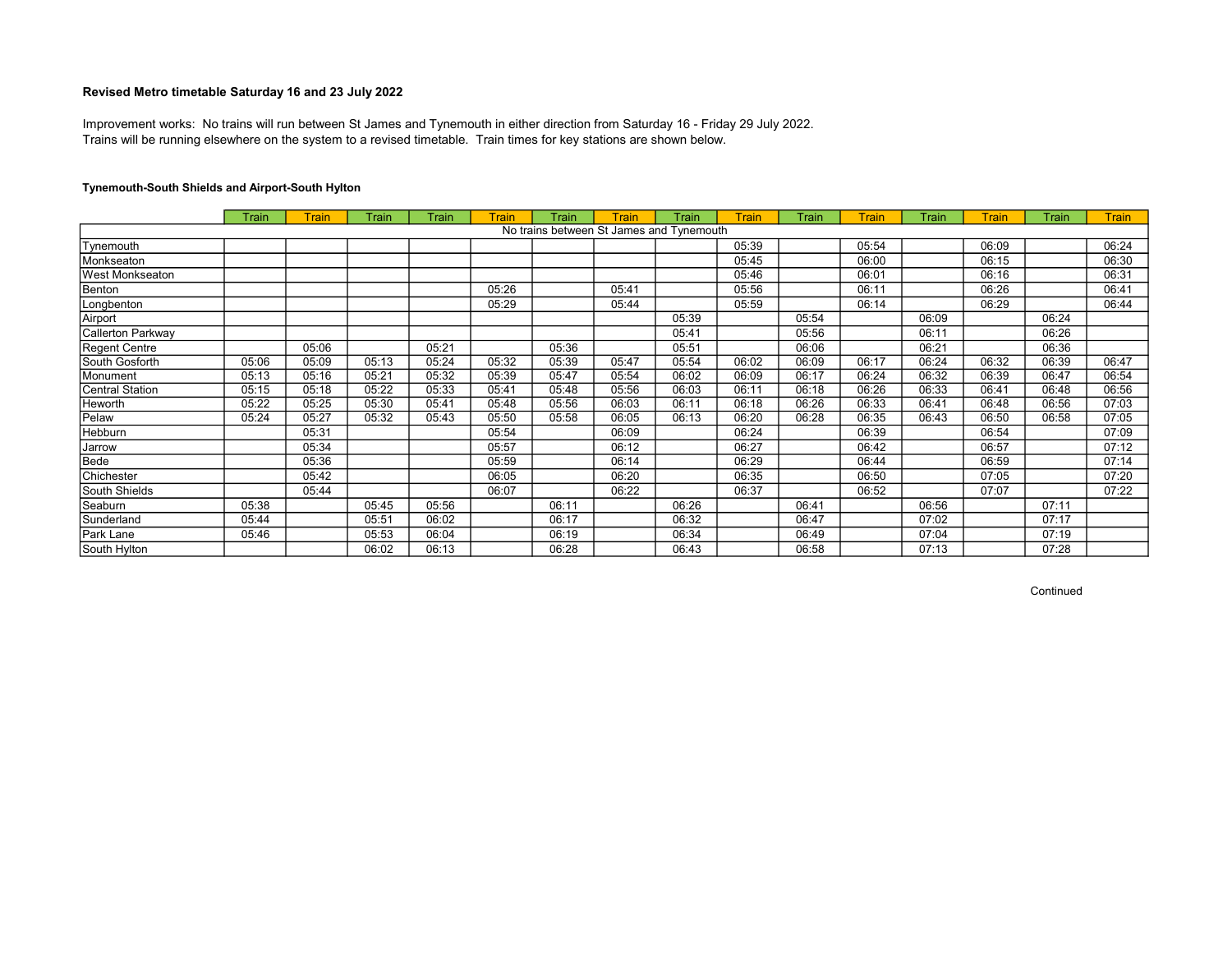Trains will be running elsewhere on the system to a revised timetable. Train times for key stations are shown below. Improvement works: No trains will run between St James and Tynemouth in either direction from Saturday 16 - Friday 29 July 2022.

# Tynemouth-South Shields and Airport-South Hylton

|                        | Train | <b>Train</b> | <b>Train</b> | Train | Train | <b>Train</b> | <b>Train</b>                             | Train | <b>Train</b> | Train | <b>Train</b> | Train | <b>Train</b> | <b>Train</b> | <b>Train</b> |
|------------------------|-------|--------------|--------------|-------|-------|--------------|------------------------------------------|-------|--------------|-------|--------------|-------|--------------|--------------|--------------|
|                        |       |              |              |       |       |              | No trains between St James and Tynemouth |       |              |       |              |       |              |              |              |
| Tynemouth              |       |              |              |       |       |              |                                          |       | 05:39        |       | 05:54        |       | 06:09        |              | 06:24        |
| Monkseaton             |       |              |              |       |       |              |                                          |       | 05:45        |       | 06:00        |       | 06:15        |              | 06:30        |
| West Monkseaton        |       |              |              |       |       |              |                                          |       | 05:46        |       | 06:01        |       | 06:16        |              | 06:31        |
| Benton                 |       |              |              |       | 05:26 |              | 05:41                                    |       | 05:56        |       | 06:11        |       | 06:26        |              | 06:41        |
| Longbenton             |       |              |              |       | 05:29 |              | 05:44                                    |       | 05:59        |       | 06:14        |       | 06:29        |              | 06:44        |
| Airport                |       |              |              |       |       |              |                                          | 05:39 |              | 05:54 |              | 06:09 |              | 06:24        |              |
| Callerton Parkway      |       |              |              |       |       |              |                                          | 05:41 |              | 05:56 |              | 06:11 |              | 06:26        |              |
| <b>Regent Centre</b>   |       | 05:06        |              | 05:21 |       | 05:36        |                                          | 05:51 |              | 06:06 |              | 06:21 |              | 06:36        |              |
| South Gosforth         | 05:06 | 05:09        | 05:13        | 05:24 | 05:32 | 05:39        | 05:47                                    | 05:54 | 06:02        | 06:09 | 06:17        | 06:24 | 06:32        | 06:39        | 06:47        |
| Monument               | 05:13 | 05:16        | 05:21        | 05:32 | 05:39 | 05:47        | 05:54                                    | 06:02 | 06:09        | 06:17 | 06:24        | 06:32 | 06:39        | 06:47        | 06:54        |
| <b>Central Station</b> | 05:15 | 05:18        | 05:22        | 05:33 | 05:41 | 05:48        | 05:56                                    | 06:03 | 06:11        | 06:18 | 06:26        | 06:33 | 06:41        | 06:48        | 06:56        |
| Heworth                | 05:22 | 05:25        | 05:30        | 05:41 | 05:48 | 05:56        | 06:03                                    | 06:11 | 06:18        | 06:26 | 06:33        | 06:41 | 06:48        | 06:56        | 07:03        |
| Pelaw                  | 05:24 | 05:27        | 05:32        | 05:43 | 05:50 | 05:58        | 06:05                                    | 06:13 | 06:20        | 06:28 | 06:35        | 06:43 | 06:50        | 06:58        | 07:05        |
| Hebburn                |       | 05:31        |              |       | 05:54 |              | 06:09                                    |       | 06:24        |       | 06:39        |       | 06:54        |              | 07:09        |
| Jarrow                 |       | 05:34        |              |       | 05:57 |              | 06:12                                    |       | 06:27        |       | 06:42        |       | 06:57        |              | 07:12        |
| Bede                   |       | 05:36        |              |       | 05:59 |              | 06:14                                    |       | 06:29        |       | 06:44        |       | 06:59        |              | 07:14        |
| Chichester             |       | 05:42        |              |       | 06:05 |              | 06:20                                    |       | 06:35        |       | 06:50        |       | 07:05        |              | 07:20        |
| South Shields          |       | 05:44        |              |       | 06:07 |              | 06:22                                    |       | 06:37        |       | 06:52        |       | 07:07        |              | 07:22        |
| Seaburn                | 05:38 |              | 05:45        | 05:56 |       | 06:11        |                                          | 06:26 |              | 06:41 |              | 06:56 |              | 07:11        |              |
| Sunderland             | 05:44 |              | 05:51        | 06:02 |       | 06:17        |                                          | 06:32 |              | 06:47 |              | 07:02 |              | 07:17        |              |
| Park Lane              | 05:46 |              | 05:53        | 06:04 |       | 06:19        |                                          | 06:34 |              | 06:49 |              | 07:04 |              | 07:19        |              |
| South Hylton           |       |              | 06:02        | 06:13 |       | 06:28        |                                          | 06:43 |              | 06:58 |              | 07:13 |              | 07:28        |              |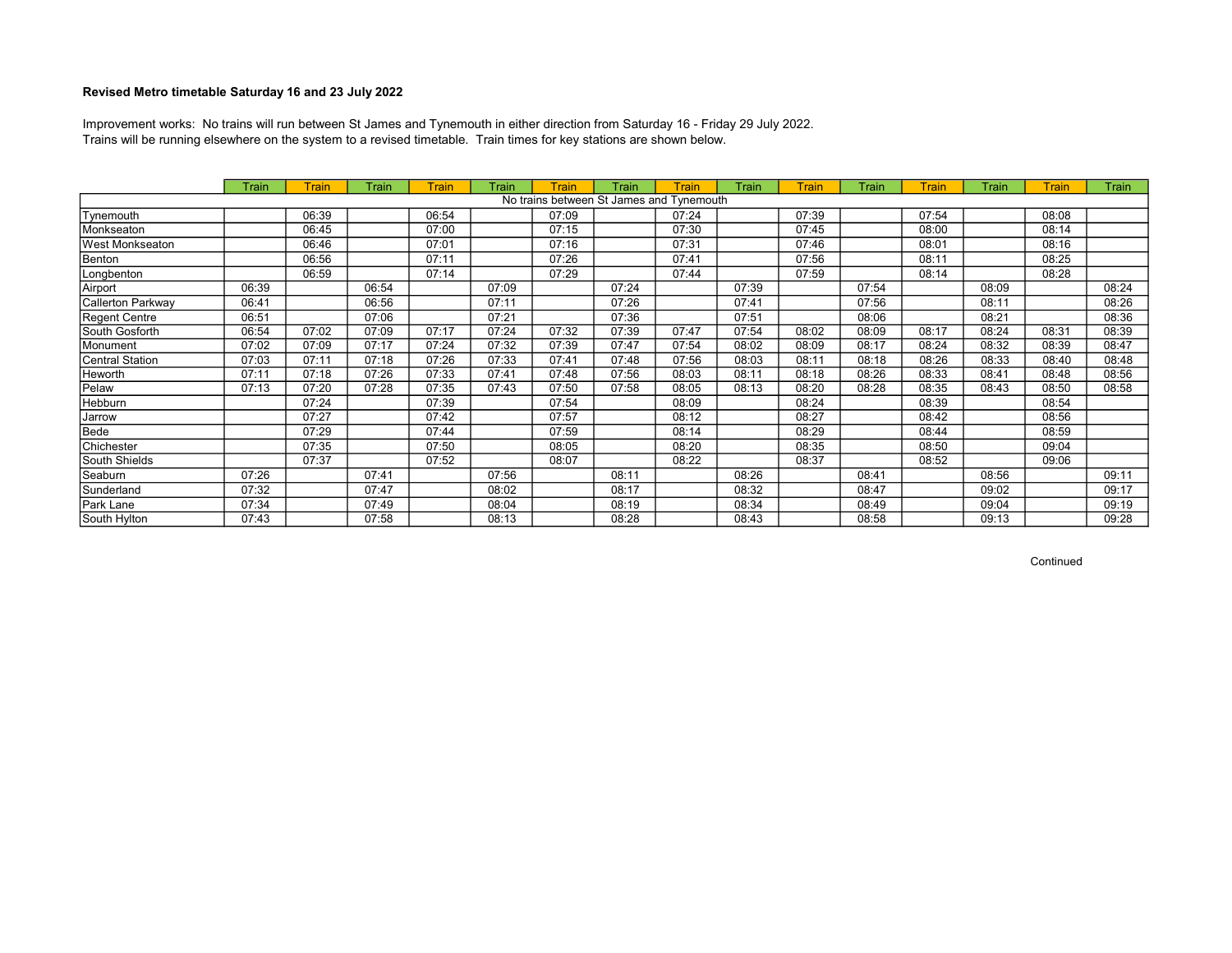Trains will be running elsewhere on the system to a revised timetable. Train times for key stations are shown below. Improvement works: No trains will run between St James and Tynemouth in either direction from Saturday 16 - Friday 29 July 2022.

|                   | Train | Train | Train | <b>Train</b> | Train | <b>Train</b> | Train                                    | Train | Train | <b>Train</b> | Train | Train | Train | Train | Train |
|-------------------|-------|-------|-------|--------------|-------|--------------|------------------------------------------|-------|-------|--------------|-------|-------|-------|-------|-------|
|                   |       |       |       |              |       |              | No trains between St James and Tynemouth |       |       |              |       |       |       |       |       |
| Tynemouth         |       | 06:39 |       | 06:54        |       | 07:09        |                                          | 07:24 |       | 07:39        |       | 07:54 |       | 08:08 |       |
| Monkseaton        |       | 06:45 |       | 07:00        |       | 07:15        |                                          | 07:30 |       | 07:45        |       | 08:00 |       | 08:14 |       |
| West Monkseaton   |       | 06:46 |       | 07:01        |       | 07:16        |                                          | 07:31 |       | 07:46        |       | 08:01 |       | 08:16 |       |
| Benton            |       | 06:56 |       | 07:11        |       | 07:26        |                                          | 07:41 |       | 07:56        |       | 08:11 |       | 08:25 |       |
| Longbenton        |       | 06:59 |       | 07:14        |       | 07:29        |                                          | 07:44 |       | 07:59        |       | 08:14 |       | 08:28 |       |
| Airport           | 06:39 |       | 06:54 |              | 07:09 |              | 07:24                                    |       | 07:39 |              | 07:54 |       | 08:09 |       | 08:24 |
| Callerton Parkway | 06:41 |       | 06:56 |              | 07:11 |              | 07:26                                    |       | 07:41 |              | 07:56 |       | 08:11 |       | 08:26 |
| Regent Centre     | 06:51 |       | 07:06 |              | 07:21 |              | 07:36                                    |       | 07:51 |              | 08:06 |       | 08:21 |       | 08:36 |
| South Gosforth    | 06:54 | 07:02 | 07:09 | 07:17        | 07:24 | 07:32        | 07:39                                    | 07:47 | 07:54 | 08:02        | 08:09 | 08:17 | 08:24 | 08:31 | 08:39 |
| Monument          | 07:02 | 07:09 | 07:17 | 07:24        | 07:32 | 07:39        | 07:47                                    | 07:54 | 08:02 | 08:09        | 08:17 | 08:24 | 08:32 | 08:39 | 08:47 |
| Central Station   | 07:03 | 07:11 | 07:18 | 07:26        | 07:33 | 07:41        | 07:48                                    | 07:56 | 08:03 | 08:11        | 08:18 | 08:26 | 08:33 | 08:40 | 08:48 |
| Heworth           | 07:11 | 07:18 | 07:26 | 07:33        | 07:41 | 07:48        | 07:56                                    | 08:03 | 08:11 | 08:18        | 08:26 | 08:33 | 08:41 | 08:48 | 08:56 |
| Pelaw             | 07:13 | 07:20 | 07:28 | 07:35        | 07:43 | 07:50        | 07:58                                    | 08:05 | 08:13 | 08:20        | 08:28 | 08:35 | 08:43 | 08:50 | 08:58 |
| Hebburn           |       | 07:24 |       | 07:39        |       | 07:54        |                                          | 08:09 |       | 08:24        |       | 08:39 |       | 08:54 |       |
| Jarrow            |       | 07:27 |       | 07:42        |       | 07:57        |                                          | 08:12 |       | 08:27        |       | 08:42 |       | 08:56 |       |
| Bede              |       | 07:29 |       | 07:44        |       | 07:59        |                                          | 08:14 |       | 08:29        |       | 08:44 |       | 08:59 |       |
| Chichester        |       | 07:35 |       | 07:50        |       | 08:05        |                                          | 08:20 |       | 08:35        |       | 08:50 |       | 09:04 |       |
| South Shields     |       | 07:37 |       | 07:52        |       | 08:07        |                                          | 08:22 |       | 08:37        |       | 08:52 |       | 09:06 |       |
| Seaburn           | 07:26 |       | 07:41 |              | 07:56 |              | 08:11                                    |       | 08:26 |              | 08:41 |       | 08:56 |       | 09:11 |
| Sunderland        | 07:32 |       | 07:47 |              | 08:02 |              | 08:17                                    |       | 08:32 |              | 08:47 |       | 09:02 |       | 09:17 |
| Park Lane         | 07:34 |       | 07:49 |              | 08:04 |              | 08:19                                    |       | 08:34 |              | 08:49 |       | 09:04 |       | 09:19 |
| South Hylton      | 07:43 |       | 07:58 |              | 08:13 |              | 08:28                                    |       | 08:43 |              | 08:58 |       | 09:13 |       | 09:28 |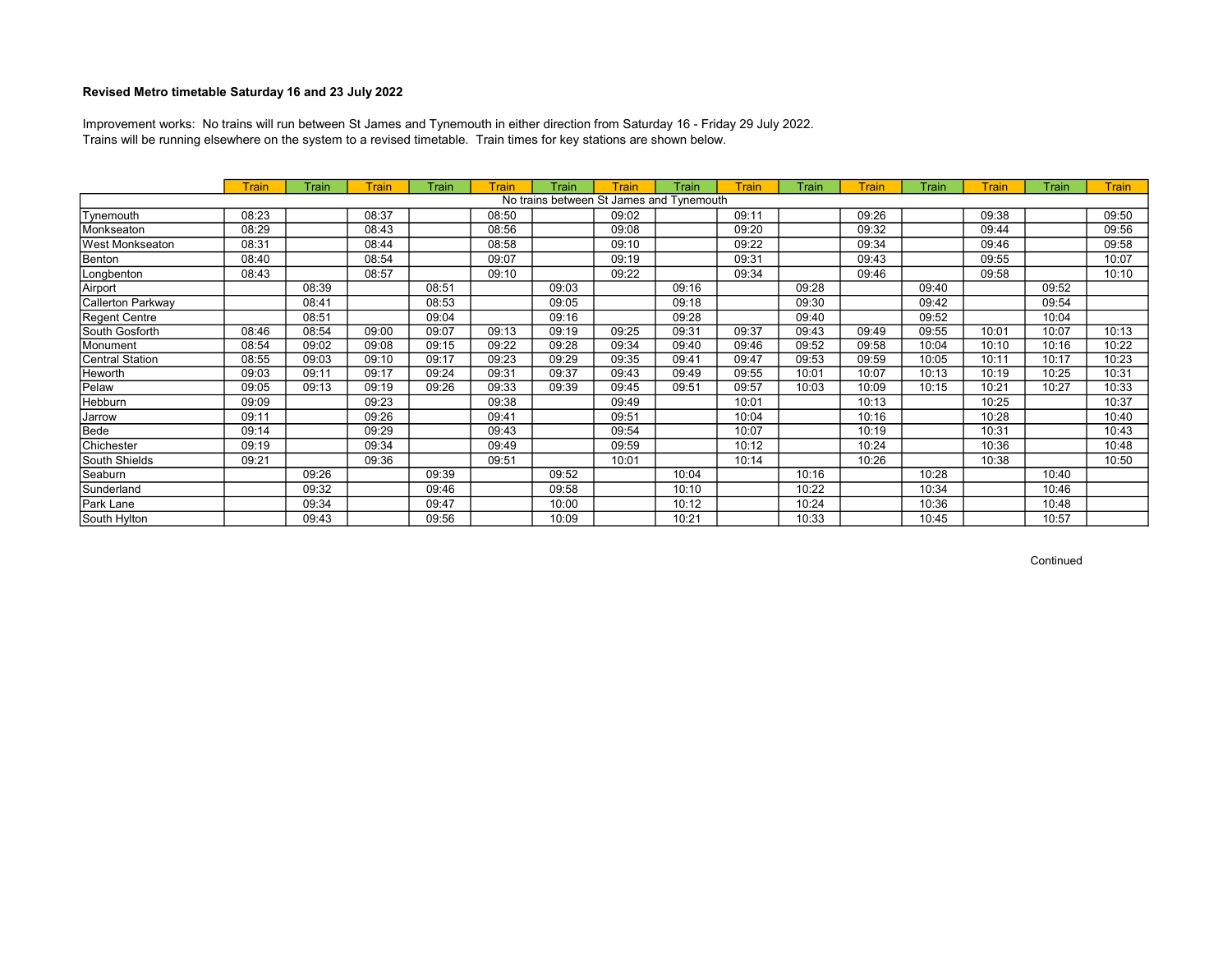Trains will be running elsewhere on the system to a revised timetable. Train times for key stations are shown below. Improvement works: No trains will run between St James and Tynemouth in either direction from Saturday 16 - Friday 29 July 2022.

|                        | <b>Train</b> | Train | Train | Train | Train | Train | Train | Train                                    | <b>Train</b> | Train | <b>Train</b> | Train | <b>Train</b> | Train | <b>Train</b> |
|------------------------|--------------|-------|-------|-------|-------|-------|-------|------------------------------------------|--------------|-------|--------------|-------|--------------|-------|--------------|
|                        |              |       |       |       |       |       |       | No trains between St James and Tynemouth |              |       |              |       |              |       |              |
| Tynemouth              | 08:23        |       | 08:37 |       | 08:50 |       | 09:02 |                                          | 09:11        |       | 09:26        |       | 09:38        |       | 09:50        |
| Monkseaton             | 08:29        |       | 08:43 |       | 08:56 |       | 09:08 |                                          | 09:20        |       | 09:32        |       | 09:44        |       | 09:56        |
| <b>West Monkseaton</b> | 08:31        |       | 08:44 |       | 08:58 |       | 09:10 |                                          | 09:22        |       | 09:34        |       | 09:46        |       | 09:58        |
| Benton                 | 08:40        |       | 08:54 |       | 09:07 |       | 09:19 |                                          | 09:31        |       | 09:43        |       | 09:55        |       | 10:07        |
| Longbenton             | 08:43        |       | 08:57 |       | 09:10 |       | 09:22 |                                          | 09:34        |       | 09:46        |       | 09:58        |       | 10:10        |
| Airport                |              | 08:39 |       | 08:51 |       | 09:03 |       | 09:16                                    |              | 09:28 |              | 09:40 |              | 09:52 |              |
| Callerton Parkway      |              | 08:41 |       | 08:53 |       | 09:05 |       | 09:18                                    |              | 09:30 |              | 09:42 |              | 09:54 |              |
| Regent Centre          |              | 08:51 |       | 09:04 |       | 09:16 |       | 09:28                                    |              | 09:40 |              | 09:52 |              | 10:04 |              |
| South Gosforth         | 08:46        | 08:54 | 09:00 | 09:07 | 09:13 | 09:19 | 09:25 | 09:31                                    | 09:37        | 09:43 | 09:49        | 09:55 | 10:01        | 10:07 | 10:13        |
| Monument               | 08:54        | 09:02 | 09:08 | 09:15 | 09:22 | 09:28 | 09:34 | 09:40                                    | 09:46        | 09:52 | 09:58        | 10:04 | 10:10        | 10:16 | 10:22        |
| Central Station        | 08:55        | 09:03 | 09:10 | 09:17 | 09:23 | 09:29 | 09:35 | 09:41                                    | 09:47        | 09:53 | 09:59        | 10:05 | 10:11        | 10:17 | 10:23        |
| Heworth                | 09:03        | 09:11 | 09:17 | 09:24 | 09:31 | 09:37 | 09:43 | 09:49                                    | 09:55        | 10:01 | 10:07        | 10:13 | 10:19        | 10:25 | 10:31        |
| Pelaw                  | 09:05        | 09:13 | 09:19 | 09:26 | 09:33 | 09:39 | 09:45 | 09:51                                    | 09:57        | 10:03 | 10:09        | 10:15 | 10:21        | 10:27 | 10:33        |
| Hebburn                | 09:09        |       | 09:23 |       | 09:38 |       | 09:49 |                                          | 10:01        |       | 10:13        |       | 10:25        |       | 10:37        |
| Jarrow                 | 09:11        |       | 09:26 |       | 09:41 |       | 09:51 |                                          | 10:04        |       | 10:16        |       | 10:28        |       | 10:40        |
| Bede                   | 09:14        |       | 09:29 |       | 09:43 |       | 09:54 |                                          | 10:07        |       | 10:19        |       | 10:31        |       | 10:43        |
| Chichester             | 09:19        |       | 09:34 |       | 09:49 |       | 09:59 |                                          | 10:12        |       | 10:24        |       | 10:36        |       | 10:48        |
| South Shields          | 09:21        |       | 09:36 |       | 09:51 |       | 10:01 |                                          | 10:14        |       | 10:26        |       | 10:38        |       | 10:50        |
| Seaburn                |              | 09:26 |       | 09:39 |       | 09:52 |       | 10:04                                    |              | 10:16 |              | 10:28 |              | 10:40 |              |
| Sunderland             |              | 09:32 |       | 09:46 |       | 09:58 |       | 10:10                                    |              | 10:22 |              | 10:34 |              | 10:46 |              |
| Park Lane              |              | 09:34 |       | 09:47 |       | 10:00 |       | 10:12                                    |              | 10:24 |              | 10:36 |              | 10:48 |              |
| South Hylton           |              | 09:43 |       | 09:56 |       | 10:09 |       | 10:21                                    |              | 10:33 |              | 10:45 |              | 10:57 |              |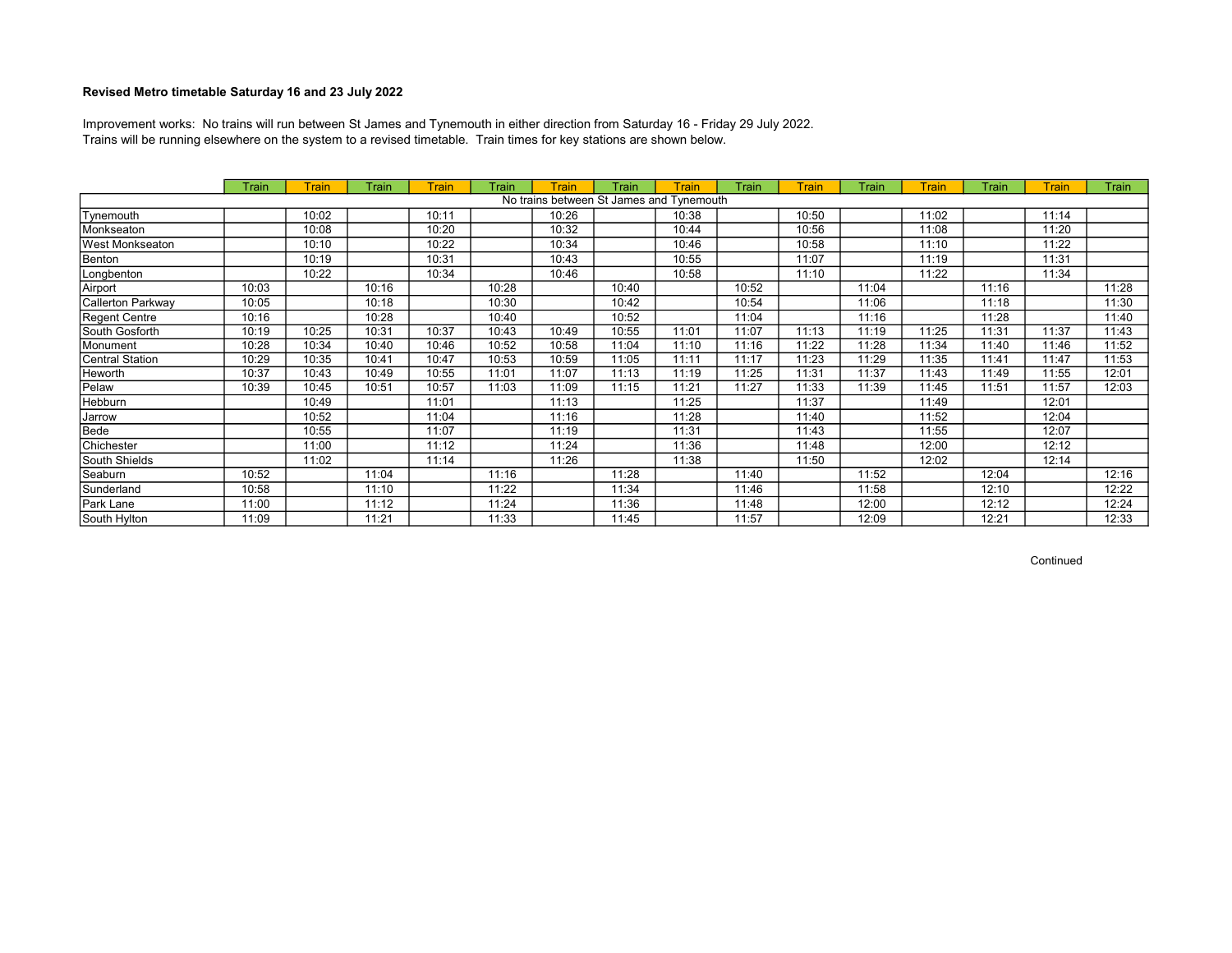Trains will be running elsewhere on the system to a revised timetable. Train times for key stations are shown below. Improvement works: No trains will run between St James and Tynemouth in either direction from Saturday 16 - Friday 29 July 2022.

|                   | Train | Train | Train | <b>Train</b> | Train | <b>Train</b> | Train | Train                                    | Train | <b>Train</b> | Train | Train | Train | Train | Train |
|-------------------|-------|-------|-------|--------------|-------|--------------|-------|------------------------------------------|-------|--------------|-------|-------|-------|-------|-------|
|                   |       |       |       |              |       |              |       | No trains between St James and Tynemouth |       |              |       |       |       |       |       |
| Tynemouth         |       | 10:02 |       | 10:11        |       | 10:26        |       | 10:38                                    |       | 10:50        |       | 11:02 |       | 11:14 |       |
| Monkseaton        |       | 10:08 |       | 10:20        |       | 10:32        |       | 10:44                                    |       | 10:56        |       | 11:08 |       | 11:20 |       |
| West Monkseaton   |       | 10:10 |       | 10:22        |       | 10:34        |       | 10:46                                    |       | 10:58        |       | 11:10 |       | 11:22 |       |
| Benton            |       | 10:19 |       | 10:31        |       | 10:43        |       | 10:55                                    |       | 11:07        |       | 11:19 |       | 11:31 |       |
| Longbenton        |       | 10:22 |       | 10:34        |       | 10:46        |       | 10:58                                    |       | 11:10        |       | 11:22 |       | 11:34 |       |
| Airport           | 10:03 |       | 10:16 |              | 10:28 |              | 10:40 |                                          | 10:52 |              | 11:04 |       | 11:16 |       | 11:28 |
| Callerton Parkway | 10:05 |       | 10:18 |              | 10:30 |              | 10:42 |                                          | 10:54 |              | 11:06 |       | 11:18 |       | 11:30 |
| Regent Centre     | 10:16 |       | 10:28 |              | 10:40 |              | 10:52 |                                          | 11:04 |              | 11:16 |       | 11:28 |       | 11:40 |
| South Gosforth    | 10:19 | 10:25 | 10:31 | 10:37        | 10:43 | 10:49        | 10:55 | 11:01                                    | 11:07 | 11:13        | 11:19 | 11:25 | 11:31 | 11:37 | 11:43 |
| Monument          | 10:28 | 10:34 | 10:40 | 10:46        | 10:52 | 10:58        | 11:04 | 11:10                                    | 11:16 | 11:22        | 11:28 | 11:34 | 11:40 | 11:46 | 11:52 |
| Central Station   | 10:29 | 10:35 | 10:41 | 10:47        | 10:53 | 10:59        | 11:05 | 11:11                                    | 11:17 | 11:23        | 11:29 | 11:35 | 11:41 | 11:47 | 11:53 |
| Heworth           | 10:37 | 10:43 | 10:49 | 10:55        | 11:01 | 11:07        | 11:13 | 11:19                                    | 11:25 | 11:31        | 11:37 | 11:43 | 11:49 | 11:55 | 12:01 |
| Pelaw             | 10:39 | 10:45 | 10:51 | 10:57        | 11:03 | 11:09        | 11:15 | 11:21                                    | 11:27 | 11:33        | 11:39 | 11:45 | 11:51 | 11:57 | 12:03 |
| Hebburn           |       | 10:49 |       | 11:01        |       | 11:13        |       | 11:25                                    |       | 11:37        |       | 11:49 |       | 12:01 |       |
| Jarrow            |       | 10:52 |       | 11:04        |       | 11:16        |       | 11:28                                    |       | 11:40        |       | 11:52 |       | 12:04 |       |
| Bede              |       | 10:55 |       | 11:07        |       | 11:19        |       | 11:31                                    |       | 11:43        |       | 11:55 |       | 12:07 |       |
| Chichester        |       | 11:00 |       | 11:12        |       | 11:24        |       | 11:36                                    |       | 11:48        |       | 12:00 |       | 12:12 |       |
| South Shields     |       | 11:02 |       | 11:14        |       | 11:26        |       | 11:38                                    |       | 11:50        |       | 12:02 |       | 12:14 |       |
| Seaburn           | 10:52 |       | 11:04 |              | 11:16 |              | 11:28 |                                          | 11:40 |              | 11:52 |       | 12:04 |       | 12:16 |
| Sunderland        | 10:58 |       | 11:10 |              | 11:22 |              | 11:34 |                                          | 11:46 |              | 11:58 |       | 12:10 |       | 12:22 |
| Park Lane         | 11:00 |       | 11:12 |              | 11:24 |              | 11:36 |                                          | 11:48 |              | 12:00 |       | 12:12 |       | 12:24 |
| South Hylton      | 11:09 |       | 11:21 |              | 11:33 |              | 11:45 |                                          | 11:57 |              | 12:09 |       | 12:21 |       | 12:33 |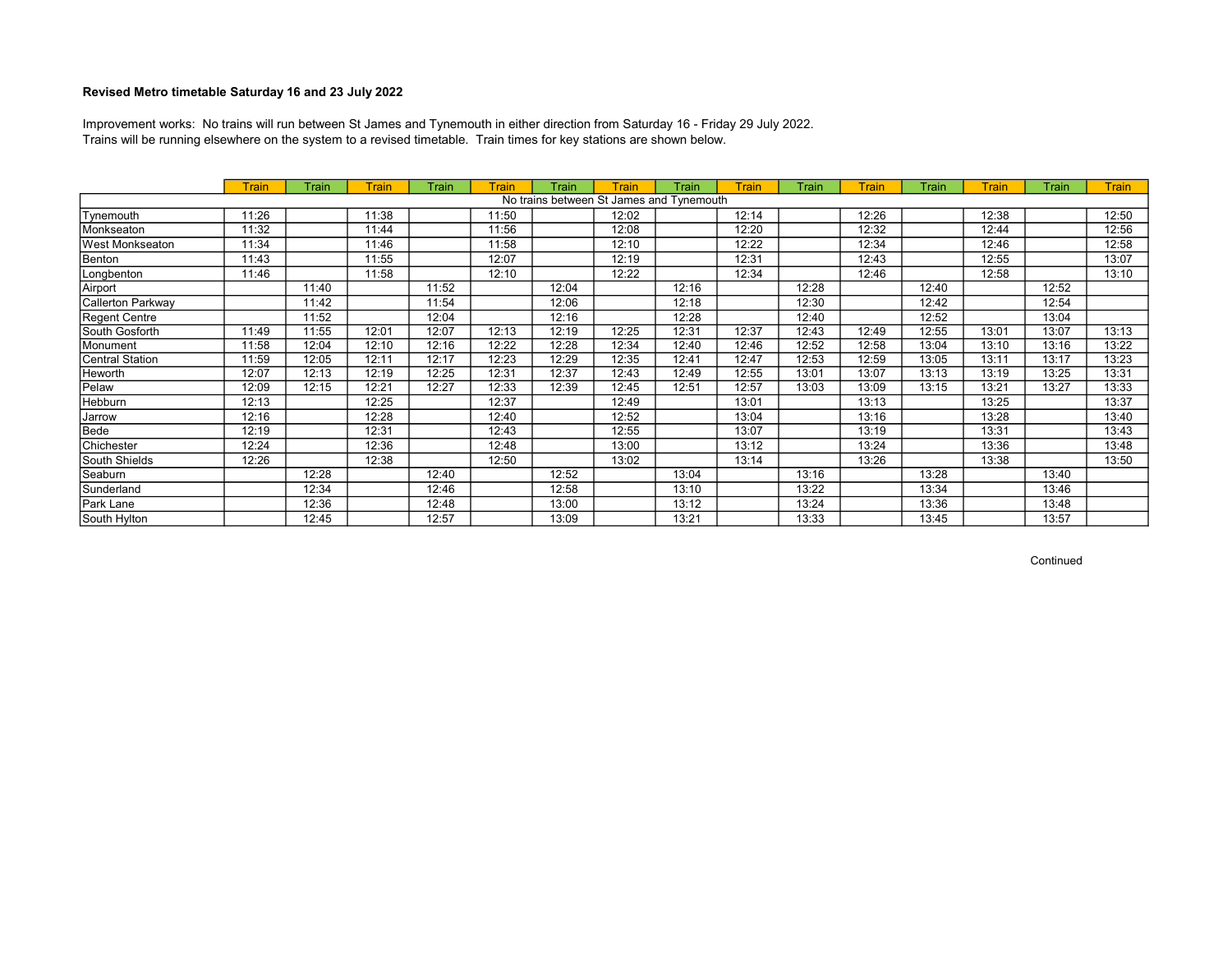Trains will be running elsewhere on the system to a revised timetable. Train times for key stations are shown below. Improvement works: No trains will run between St James and Tynemouth in either direction from Saturday 16 - Friday 29 July 2022.

|                        | <b>Train</b> | Train | Train | Train | Train | Train | Train | Train                                    | Train | Train | <b>Train</b> | Train | <b>Train</b> | Train | <b>Train</b> |
|------------------------|--------------|-------|-------|-------|-------|-------|-------|------------------------------------------|-------|-------|--------------|-------|--------------|-------|--------------|
|                        |              |       |       |       |       |       |       | No trains between St James and Tynemouth |       |       |              |       |              |       |              |
| Tynemouth              | 11:26        |       | 11:38 |       | 11:50 |       | 12:02 |                                          | 12:14 |       | 12:26        |       | 12:38        |       | 12:50        |
| Monkseaton             | 11:32        |       | 11:44 |       | 11:56 |       | 12:08 |                                          | 12:20 |       | 12:32        |       | 12:44        |       | 12:56        |
| <b>West Monkseaton</b> | 11:34        |       | 11:46 |       | 11:58 |       | 12:10 |                                          | 12:22 |       | 12:34        |       | 12:46        |       | 12:58        |
| Benton                 | 11:43        |       | 11:55 |       | 12:07 |       | 12:19 |                                          | 12:31 |       | 12:43        |       | 12:55        |       | 13:07        |
| Longbenton             | 11:46        |       | 11:58 |       | 12:10 |       | 12:22 |                                          | 12:34 |       | 12:46        |       | 12:58        |       | 13:10        |
| Airport                |              | 11:40 |       | 11:52 |       | 12:04 |       | 12:16                                    |       | 12:28 |              | 12:40 |              | 12:52 |              |
| Callerton Parkway      |              | 11:42 |       | 11:54 |       | 12:06 |       | 12:18                                    |       | 12:30 |              | 12:42 |              | 12:54 |              |
| Regent Centre          |              | 11:52 |       | 12:04 |       | 12:16 |       | 12:28                                    |       | 12:40 |              | 12:52 |              | 13:04 |              |
| South Gosforth         | 11:49        | 11:55 | 12:01 | 12:07 | 12:13 | 12:19 | 12:25 | 12:31                                    | 12:37 | 12:43 | 12:49        | 12:55 | 13:01        | 13:07 | 13:13        |
| Monument               | 11:58        | 12:04 | 12:10 | 12:16 | 12:22 | 12:28 | 12:34 | 12:40                                    | 12:46 | 12:52 | 12:58        | 13:04 | 13:10        | 13:16 | 13:22        |
| Central Station        | 11:59        | 12:05 | 12:11 | 12:17 | 12:23 | 12:29 | 12:35 | 12:41                                    | 12:47 | 12:53 | 12:59        | 13:05 | 13:11        | 13:17 | 13:23        |
| Heworth                | 12:07        | 12:13 | 12:19 | 12:25 | 12:31 | 12:37 | 12:43 | 12:49                                    | 12:55 | 13:01 | 13:07        | 13:13 | 13:19        | 13:25 | 13:31        |
| Pelaw                  | 12:09        | 12:15 | 12:21 | 12:27 | 12:33 | 12:39 | 12:45 | 12:51                                    | 12:57 | 13:03 | 13:09        | 13:15 | 13:21        | 13:27 | 13:33        |
| Hebburn                | 12:13        |       | 12:25 |       | 12:37 |       | 12:49 |                                          | 13:01 |       | 13:13        |       | 13:25        |       | 13:37        |
| Jarrow                 | 12:16        |       | 12:28 |       | 12:40 |       | 12:52 |                                          | 13:04 |       | 13:16        |       | 13:28        |       | 13:40        |
| Bede                   | 12:19        |       | 12:31 |       | 12:43 |       | 12:55 |                                          | 13:07 |       | 13:19        |       | 13:31        |       | 13:43        |
| Chichester             | 12:24        |       | 12:36 |       | 12:48 |       | 13:00 |                                          | 13:12 |       | 13:24        |       | 13:36        |       | 13:48        |
| South Shields          | 12:26        |       | 12:38 |       | 12:50 |       | 13:02 |                                          | 13:14 |       | 13:26        |       | 13:38        |       | 13:50        |
| Seaburn                |              | 12:28 |       | 12:40 |       | 12:52 |       | 13:04                                    |       | 13:16 |              | 13:28 |              | 13:40 |              |
| Sunderland             |              | 12:34 |       | 12:46 |       | 12:58 |       | 13:10                                    |       | 13:22 |              | 13:34 |              | 13:46 |              |
| Park Lane              |              | 12:36 |       | 12:48 |       | 13:00 |       | 13:12                                    |       | 13:24 |              | 13:36 |              | 13:48 |              |
| South Hylton           |              | 12:45 |       | 12:57 |       | 13:09 |       | 13:21                                    |       | 13:33 |              | 13:45 |              | 13:57 |              |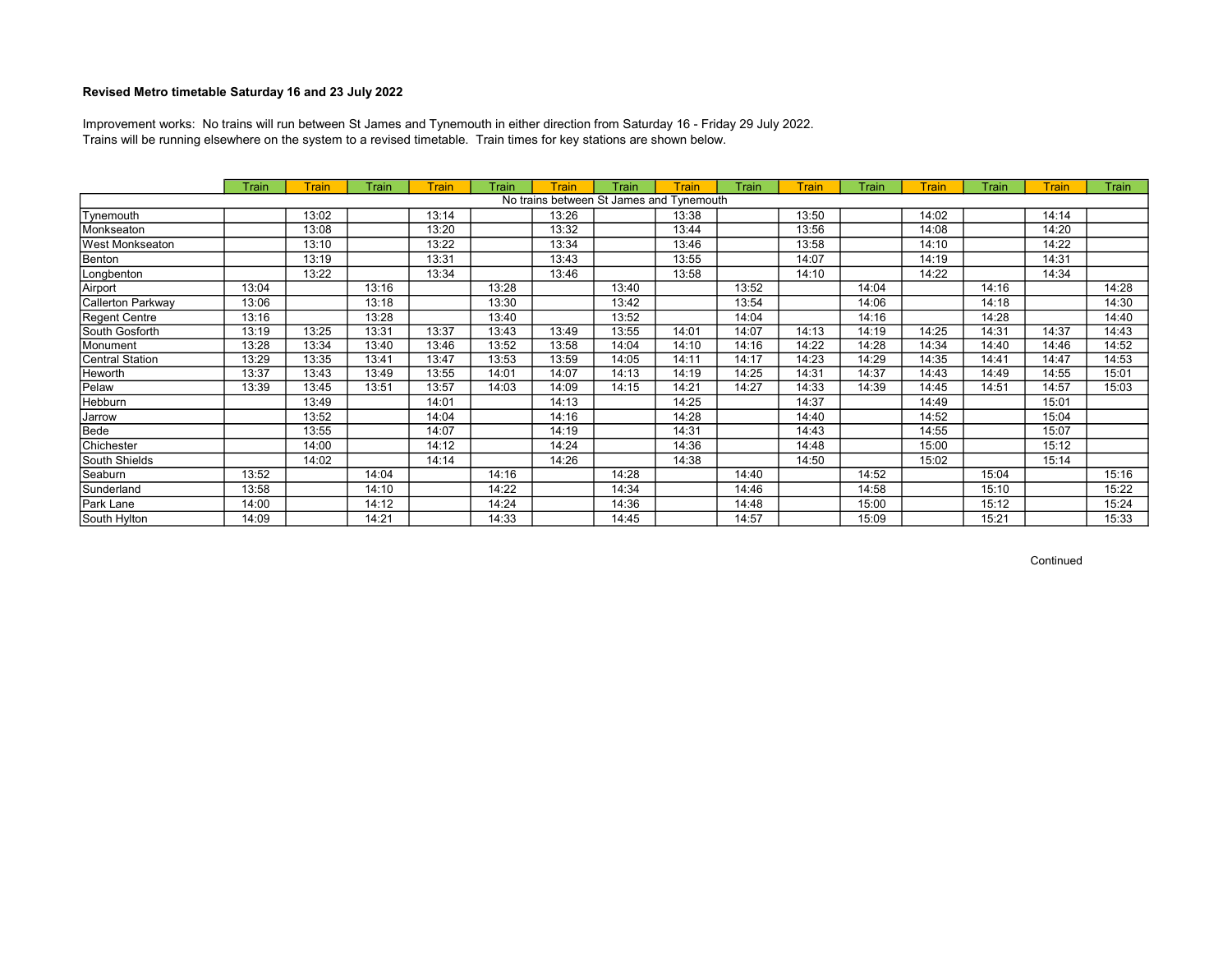Trains will be running elsewhere on the system to a revised timetable. Train times for key stations are shown below. Improvement works: No trains will run between St James and Tynemouth in either direction from Saturday 16 - Friday 29 July 2022.

|                   | Train | Train | Train | <b>Train</b> | Train | <b>Train</b> | Train | Train                                    | Train | <b>Train</b> | Train | Train | Train | Train | Train |
|-------------------|-------|-------|-------|--------------|-------|--------------|-------|------------------------------------------|-------|--------------|-------|-------|-------|-------|-------|
|                   |       |       |       |              |       |              |       | No trains between St James and Tynemouth |       |              |       |       |       |       |       |
| Tynemouth         |       | 13:02 |       | 13:14        |       | 13:26        |       | 13:38                                    |       | 13:50        |       | 14:02 |       | 14:14 |       |
| Monkseaton        |       | 13:08 |       | 13:20        |       | 13:32        |       | 13:44                                    |       | 13:56        |       | 14:08 |       | 14:20 |       |
| West Monkseaton   |       | 13:10 |       | 13:22        |       | 13:34        |       | 13:46                                    |       | 13:58        |       | 14:10 |       | 14:22 |       |
| Benton            |       | 13:19 |       | 13:31        |       | 13:43        |       | 13:55                                    |       | 14:07        |       | 14:19 |       | 14:31 |       |
| Longbenton        |       | 13:22 |       | 13:34        |       | 13:46        |       | 13:58                                    |       | 14:10        |       | 14:22 |       | 14:34 |       |
| Airport           | 13:04 |       | 13:16 |              | 13:28 |              | 13:40 |                                          | 13:52 |              | 14:04 |       | 14:16 |       | 14:28 |
| Callerton Parkway | 13:06 |       | 13:18 |              | 13:30 |              | 13:42 |                                          | 13:54 |              | 14:06 |       | 14:18 |       | 14:30 |
| Regent Centre     | 13:16 |       | 13:28 |              | 13:40 |              | 13:52 |                                          | 14:04 |              | 14:16 |       | 14:28 |       | 14:40 |
| South Gosforth    | 13:19 | 13:25 | 13:31 | 13:37        | 13:43 | 13:49        | 13:55 | 14:01                                    | 14:07 | 14:13        | 14:19 | 14:25 | 14:31 | 14:37 | 14:43 |
| Monument          | 13:28 | 13:34 | 13:40 | 13:46        | 13:52 | 13:58        | 14:04 | 14:10                                    | 14:16 | 14:22        | 14:28 | 14:34 | 14:40 | 14:46 | 14:52 |
| Central Station   | 13:29 | 13:35 | 13:41 | 13:47        | 13:53 | 13:59        | 14:05 | 14:11                                    | 14:17 | 14:23        | 14:29 | 14:35 | 14:41 | 14:47 | 14:53 |
| Heworth           | 13:37 | 13:43 | 13:49 | 13:55        | 14:01 | 14:07        | 14:13 | 14:19                                    | 14:25 | 14:31        | 14:37 | 14:43 | 14:49 | 14:55 | 15:01 |
| Pelaw             | 13:39 | 13:45 | 13:51 | 13:57        | 14:03 | 14:09        | 14:15 | 14:21                                    | 14:27 | 14:33        | 14:39 | 14:45 | 14:51 | 14:57 | 15:03 |
| Hebburn           |       | 13:49 |       | 14:01        |       | 14:13        |       | 14:25                                    |       | 14:37        |       | 14:49 |       | 15:01 |       |
| Jarrow            |       | 13:52 |       | 14:04        |       | 14:16        |       | 14:28                                    |       | 14:40        |       | 14:52 |       | 15:04 |       |
| Bede              |       | 13:55 |       | 14:07        |       | 14:19        |       | 14:31                                    |       | 14:43        |       | 14:55 |       | 15:07 |       |
| Chichester        |       | 14:00 |       | 14:12        |       | 14:24        |       | 14:36                                    |       | 14:48        |       | 15:00 |       | 15:12 |       |
| South Shields     |       | 14:02 |       | 14:14        |       | 14:26        |       | 14:38                                    |       | 14:50        |       | 15:02 |       | 15:14 |       |
| Seaburn           | 13:52 |       | 14:04 |              | 14:16 |              | 14:28 |                                          | 14:40 |              | 14:52 |       | 15:04 |       | 15:16 |
| Sunderland        | 13:58 |       | 14:10 |              | 14:22 |              | 14:34 |                                          | 14:46 |              | 14:58 |       | 15:10 |       | 15:22 |
| Park Lane         | 14:00 |       | 14:12 |              | 14:24 |              | 14:36 |                                          | 14:48 |              | 15:00 |       | 15:12 |       | 15:24 |
| South Hylton      | 14:09 |       | 14:21 |              | 14:33 |              | 14:45 |                                          | 14:57 |              | 15:09 |       | 15:21 |       | 15:33 |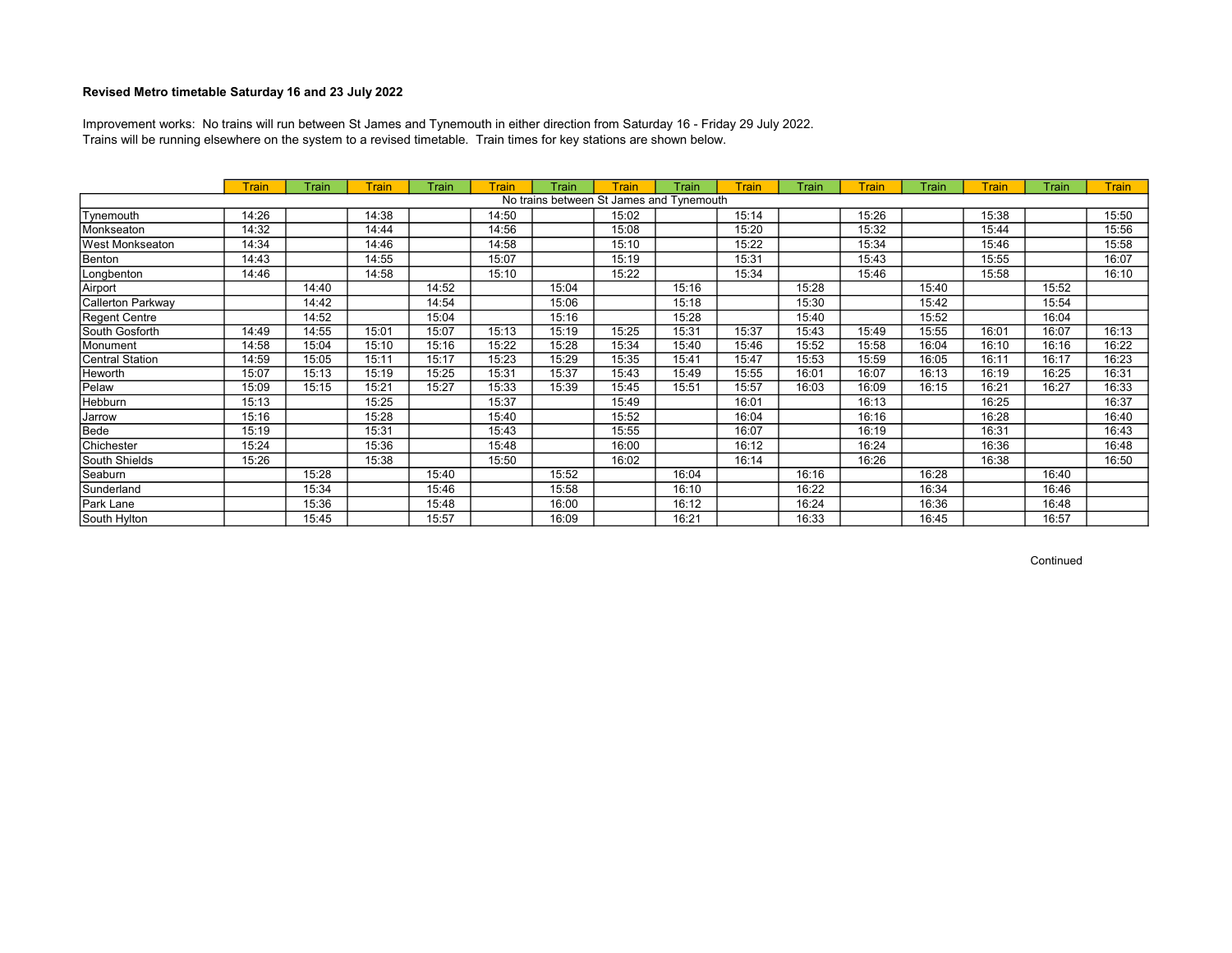Trains will be running elsewhere on the system to a revised timetable. Train times for key stations are shown below. Improvement works: No trains will run between St James and Tynemouth in either direction from Saturday 16 - Friday 29 July 2022.

|                   | <b>Train</b> | Train | Train | Train | Train | Train | Train                                    | Train | <b>Train</b> | Train | <b>Train</b> | Train | <b>Train</b> | Train | <b>Train</b> |
|-------------------|--------------|-------|-------|-------|-------|-------|------------------------------------------|-------|--------------|-------|--------------|-------|--------------|-------|--------------|
|                   |              |       |       |       |       |       | No trains between St James and Tynemouth |       |              |       |              |       |              |       |              |
| Tynemouth         | 14:26        |       | 14:38 |       | 14:50 |       | 15:02                                    |       | 15:14        |       | 15:26        |       | 15:38        |       | 15:50        |
| Monkseaton        | 14:32        |       | 14:44 |       | 14:56 |       | 15:08                                    |       | 15:20        |       | 15:32        |       | 15:44        |       | 15:56        |
| West Monkseaton   | 14:34        |       | 14:46 |       | 14:58 |       | 15:10                                    |       | 15:22        |       | 15:34        |       | 15:46        |       | 15:58        |
| Benton            | 14:43        |       | 14:55 |       | 15:07 |       | 15:19                                    |       | 15:31        |       | 15:43        |       | 15:55        |       | 16:07        |
| Longbenton        | 14:46        |       | 14:58 |       | 15:10 |       | 15:22                                    |       | 15:34        |       | 15:46        |       | 15:58        |       | 16:10        |
| Airport           |              | 14:40 |       | 14:52 |       | 15:04 |                                          | 15:16 |              | 15:28 |              | 15:40 |              | 15:52 |              |
| Callerton Parkway |              | 14:42 |       | 14:54 |       | 15:06 |                                          | 15:18 |              | 15:30 |              | 15:42 |              | 15:54 |              |
| Regent Centre     |              | 14:52 |       | 15:04 |       | 15:16 |                                          | 15:28 |              | 15:40 |              | 15:52 |              | 16:04 |              |
| South Gosforth    | 14:49        | 14:55 | 15:01 | 15:07 | 15:13 | 15:19 | 15:25                                    | 15:31 | 15:37        | 15:43 | 15:49        | 15:55 | 16:01        | 16:07 | 16:13        |
| Monument          | 14:58        | 15:04 | 15:10 | 15:16 | 15:22 | 15:28 | 15:34                                    | 15:40 | 15:46        | 15:52 | 15:58        | 16:04 | 16:10        | 16:16 | 16:22        |
| Central Station   | 14:59        | 15:05 | 15:11 | 15:17 | 15:23 | 15:29 | 15:35                                    | 15:41 | 15:47        | 15:53 | 15:59        | 16:05 | 16:11        | 16:17 | 16:23        |
| Heworth           | 15:07        | 15:13 | 15:19 | 15:25 | 15:31 | 15:37 | 15:43                                    | 15:49 | 15:55        | 16:01 | 16:07        | 16:13 | 16:19        | 16:25 | 16:31        |
| Pelaw             | 15:09        | 15:15 | 15:21 | 15:27 | 15:33 | 15:39 | 15:45                                    | 15:51 | 15:57        | 16:03 | 16:09        | 16:15 | 16:21        | 16:27 | 16:33        |
| Hebburn           | 15:13        |       | 15:25 |       | 15:37 |       | 15:49                                    |       | 16:01        |       | 16:13        |       | 16:25        |       | 16:37        |
| Jarrow            | 15:16        |       | 15:28 |       | 15:40 |       | 15:52                                    |       | 16:04        |       | 16:16        |       | 16:28        |       | 16:40        |
| Bede              | 15:19        |       | 15:31 |       | 15:43 |       | 15:55                                    |       | 16:07        |       | 16:19        |       | 16:31        |       | 16:43        |
| Chichester        | 15:24        |       | 15:36 |       | 15:48 |       | 16:00                                    |       | 16:12        |       | 16:24        |       | 16:36        |       | 16:48        |
| South Shields     | 15:26        |       | 15:38 |       | 15:50 |       | 16:02                                    |       | 16:14        |       | 16:26        |       | 16:38        |       | 16:50        |
| Seaburn           |              | 15:28 |       | 15:40 |       | 15:52 |                                          | 16:04 |              | 16:16 |              | 16:28 |              | 16:40 |              |
| Sunderland        |              | 15:34 |       | 15:46 |       | 15:58 |                                          | 16:10 |              | 16:22 |              | 16:34 |              | 16:46 |              |
| Park Lane         |              | 15:36 |       | 15:48 |       | 16:00 |                                          | 16:12 |              | 16:24 |              | 16:36 |              | 16:48 |              |
| South Hylton      |              | 15:45 |       | 15:57 |       | 16:09 |                                          | 16:21 |              | 16:33 |              | 16:45 |              | 16:57 |              |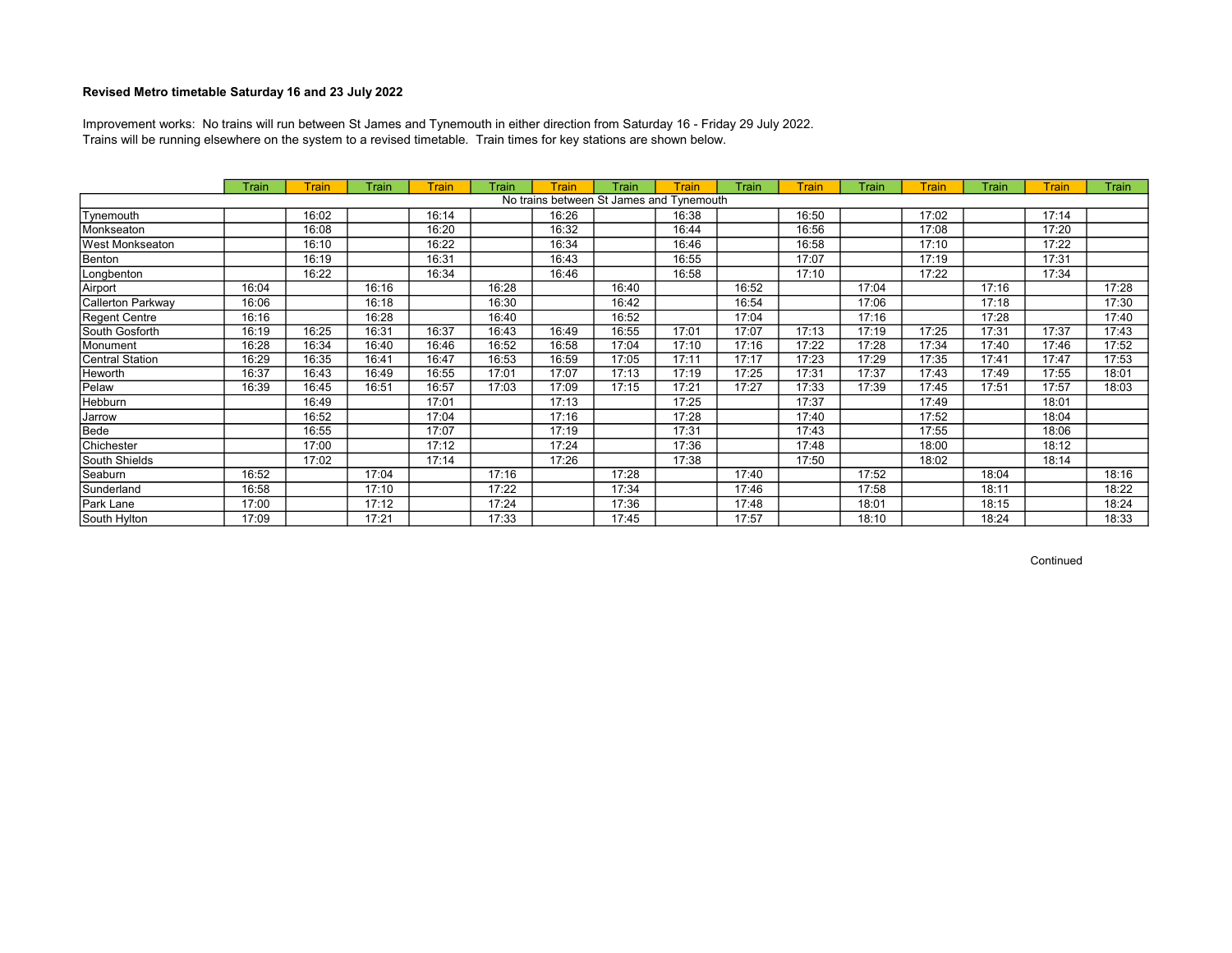Trains will be running elsewhere on the system to a revised timetable. Train times for key stations are shown below. Improvement works: No trains will run between St James and Tynemouth in either direction from Saturday 16 - Friday 29 July 2022.

|                   | Train | Train | Train | <b>Train</b> | Train | <b>Train</b> | Train                                    | Train | Train | <b>Train</b> | Train | Train | Train | Train | Train |
|-------------------|-------|-------|-------|--------------|-------|--------------|------------------------------------------|-------|-------|--------------|-------|-------|-------|-------|-------|
|                   |       |       |       |              |       |              | No trains between St James and Tynemouth |       |       |              |       |       |       |       |       |
| Tynemouth         |       | 16:02 |       | 16:14        |       | 16:26        |                                          | 16:38 |       | 16:50        |       | 17:02 |       | 17:14 |       |
| Monkseaton        |       | 16:08 |       | 16:20        |       | 16:32        |                                          | 16:44 |       | 16:56        |       | 17:08 |       | 17:20 |       |
| lWest Monkseaton  |       | 16:10 |       | 16:22        |       | 16:34        |                                          | 16:46 |       | 16:58        |       | 17:10 |       | 17:22 |       |
| Benton            |       | 16:19 |       | 16:31        |       | 16:43        |                                          | 16:55 |       | 17:07        |       | 17:19 |       | 17:31 |       |
| Longbenton        |       | 16:22 |       | 16:34        |       | 16:46        |                                          | 16:58 |       | 17:10        |       | 17:22 |       | 17:34 |       |
| Airport           | 16:04 |       | 16:16 |              | 16:28 |              | 16:40                                    |       | 16:52 |              | 17:04 |       | 17:16 |       | 17:28 |
| Callerton Parkway | 16:06 |       | 16:18 |              | 16:30 |              | 16:42                                    |       | 16:54 |              | 17:06 |       | 17:18 |       | 17:30 |
| Regent Centre     | 16:16 |       | 16:28 |              | 16:40 |              | 16:52                                    |       | 17:04 |              | 17:16 |       | 17:28 |       | 17:40 |
| South Gosforth    | 16:19 | 16:25 | 16:31 | 16:37        | 16:43 | 16:49        | 16:55                                    | 17:01 | 17:07 | 17:13        | 17:19 | 17:25 | 17:31 | 17:37 | 17:43 |
| Monument          | 16:28 | 16:34 | 16:40 | 16:46        | 16:52 | 16:58        | 17:04                                    | 17:10 | 17:16 | 17:22        | 17:28 | 17:34 | 17:40 | 17:46 | 17:52 |
| Central Station   | 16:29 | 16:35 | 16:41 | 16:47        | 16:53 | 16:59        | 17:05                                    | 17:11 | 17:17 | 17:23        | 17:29 | 17:35 | 17:41 | 17:47 | 17:53 |
| Heworth           | 16:37 | 16:43 | 16:49 | 16:55        | 17:01 | 17:07        | 17:13                                    | 17:19 | 17:25 | 17:31        | 17:37 | 17:43 | 17:49 | 17:55 | 18:01 |
| Pelaw             | 16:39 | 16:45 | 16:51 | 16:57        | 17:03 | 17:09        | 17:15                                    | 17:21 | 17:27 | 17:33        | 17:39 | 17:45 | 17:51 | 17:57 | 18:03 |
| Hebburn           |       | 16:49 |       | 17:01        |       | 17:13        |                                          | 17:25 |       | 17:37        |       | 17:49 |       | 18:01 |       |
| Jarrow            |       | 16:52 |       | 17:04        |       | 17:16        |                                          | 17:28 |       | 17:40        |       | 17:52 |       | 18:04 |       |
| Bede              |       | 16:55 |       | 17:07        |       | 17:19        |                                          | 17:31 |       | 17:43        |       | 17:55 |       | 18:06 |       |
| Chichester        |       | 17:00 |       | 17:12        |       | 17:24        |                                          | 17:36 |       | 17:48        |       | 18:00 |       | 18:12 |       |
| South Shields     |       | 17:02 |       | 17:14        |       | 17:26        |                                          | 17:38 |       | 17:50        |       | 18:02 |       | 18:14 |       |
| Seaburn           | 16:52 |       | 17:04 |              | 17:16 |              | 17:28                                    |       | 17:40 |              | 17:52 |       | 18:04 |       | 18:16 |
| Sunderland        | 16:58 |       | 17:10 |              | 17:22 |              | 17:34                                    |       | 17:46 |              | 17:58 |       | 18:11 |       | 18:22 |
| Park Lane         | 17:00 |       | 17:12 |              | 17:24 |              | 17:36                                    |       | 17:48 |              | 18:01 |       | 18:15 |       | 18:24 |
| South Hylton      | 17:09 |       | 17:21 |              | 17:33 |              | 17:45                                    |       | 17:57 |              | 18:10 |       | 18:24 |       | 18:33 |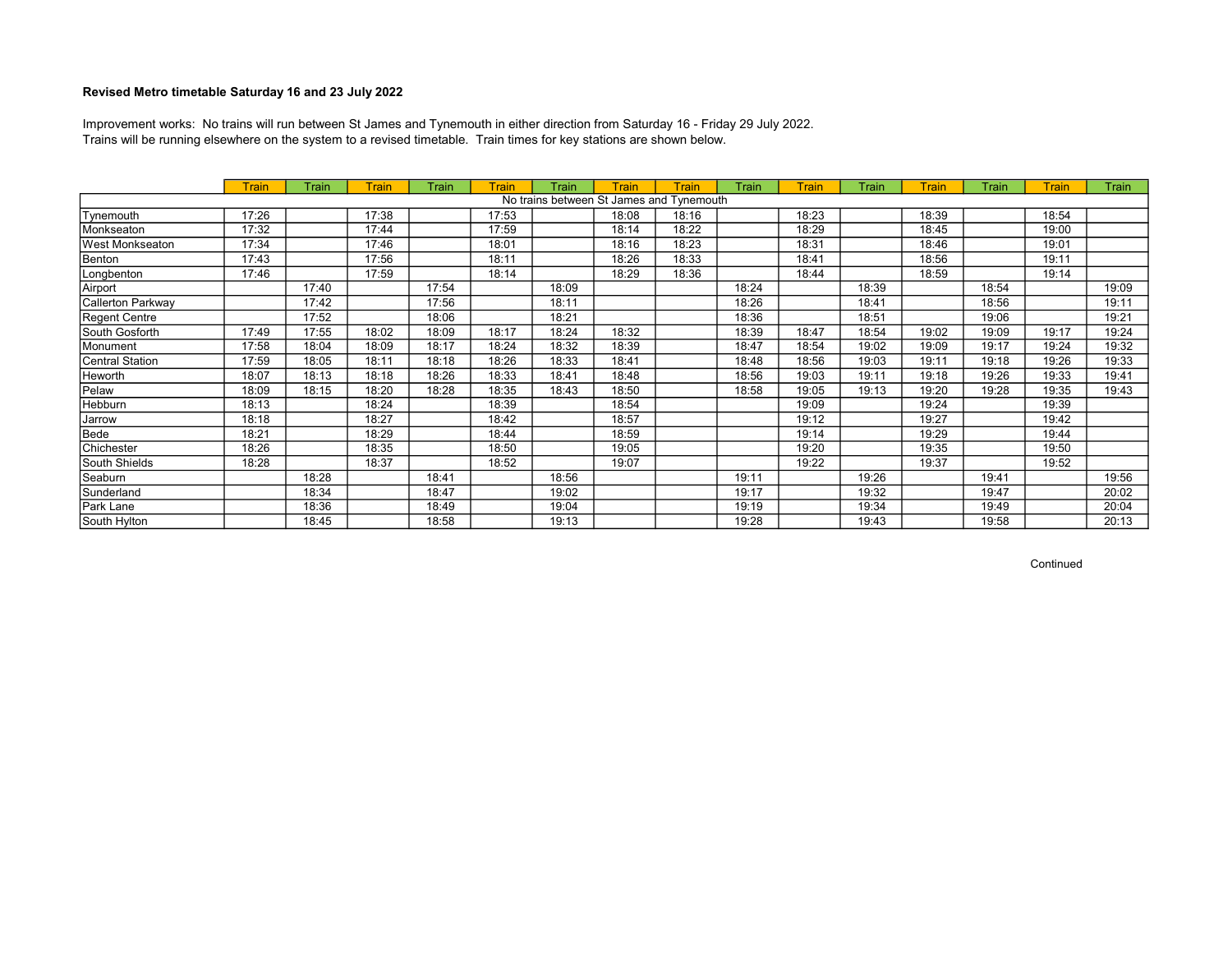Trains will be running elsewhere on the system to a revised timetable. Train times for key stations are shown below. Improvement works: No trains will run between St James and Tynemouth in either direction from Saturday 16 - Friday 29 July 2022.

|                   | <b>Train</b> | Train | Train | Train | Train | Train | <b>Train</b> | Train                                    | Train | <b>Train</b> | Train | Train | Train | <b>Train</b> | Train |
|-------------------|--------------|-------|-------|-------|-------|-------|--------------|------------------------------------------|-------|--------------|-------|-------|-------|--------------|-------|
|                   |              |       |       |       |       |       |              | No trains between St James and Tynemouth |       |              |       |       |       |              |       |
| Tynemouth         | 17:26        |       | 17:38 |       | 17:53 |       | 18:08        | 18:16                                    |       | 18:23        |       | 18:39 |       | 18:54        |       |
| Monkseaton        | 17:32        |       | 17:44 |       | 17:59 |       | 18:14        | 18:22                                    |       | 18:29        |       | 18:45 |       | 19:00        |       |
| West Monkseaton   | 17:34        |       | 17:46 |       | 18:01 |       | 18:16        | 18:23                                    |       | 18:31        |       | 18:46 |       | 19:01        |       |
| Benton            | 17:43        |       | 17:56 |       | 18:11 |       | 18:26        | 18:33                                    |       | 18:41        |       | 18:56 |       | 19:11        |       |
| Longbenton        | 17:46        |       | 17:59 |       | 18:14 |       | 18:29        | 18:36                                    |       | 18:44        |       | 18:59 |       | 19:14        |       |
| Airport           |              | 17:40 |       | 17:54 |       | 18:09 |              |                                          | 18:24 |              | 18:39 |       | 18:54 |              | 19:09 |
| Callerton Parkway |              | 17:42 |       | 17:56 |       | 18:11 |              |                                          | 18:26 |              | 18:41 |       | 18:56 |              | 19:11 |
| Regent Centre     |              | 17:52 |       | 18:06 |       | 18:21 |              |                                          | 18:36 |              | 18:51 |       | 19:06 |              | 19:21 |
| South Gosforth    | 17:49        | 17:55 | 18:02 | 18:09 | 18:17 | 18:24 | 18:32        |                                          | 18:39 | 18:47        | 18:54 | 19:02 | 19:09 | 19:17        | 19:24 |
| Monument          | 17:58        | 18:04 | 18:09 | 18:17 | 18:24 | 18:32 | 18:39        |                                          | 18:47 | 18:54        | 19:02 | 19:09 | 19:17 | 19:24        | 19:32 |
| Central Station   | 17:59        | 18:05 | 18:11 | 18:18 | 18:26 | 18:33 | 18:41        |                                          | 18:48 | 18:56        | 19:03 | 19:11 | 19:18 | 19:26        | 19:33 |
| Heworth           | 18:07        | 18:13 | 18:18 | 18:26 | 18:33 | 18:41 | 18:48        |                                          | 18:56 | 19:03        | 19:11 | 19:18 | 19:26 | 19:33        | 19:41 |
| Pelaw             | 18:09        | 18:15 | 18:20 | 18:28 | 18:35 | 18:43 | 18:50        |                                          | 18:58 | 19:05        | 19:13 | 19:20 | 19:28 | 19:35        | 19:43 |
| Hebburn           | 18:13        |       | 18:24 |       | 18:39 |       | 18:54        |                                          |       | 19:09        |       | 19:24 |       | 19:39        |       |
| Jarrow            | 18:18        |       | 18:27 |       | 18:42 |       | 18:57        |                                          |       | 19:12        |       | 19:27 |       | 19:42        |       |
| Bede              | 18:21        |       | 18:29 |       | 18:44 |       | 18:59        |                                          |       | 19:14        |       | 19:29 |       | 19:44        |       |
| Chichester        | 18:26        |       | 18:35 |       | 18:50 |       | 19:05        |                                          |       | 19:20        |       | 19:35 |       | 19:50        |       |
| South Shields     | 18:28        |       | 18:37 |       | 18:52 |       | 19:07        |                                          |       | 19:22        |       | 19:37 |       | 19:52        |       |
| Seaburn           |              | 18:28 |       | 18:41 |       | 18:56 |              |                                          | 19:11 |              | 19:26 |       | 19:41 |              | 19:56 |
| Sunderland        |              | 18:34 |       | 18:47 |       | 19:02 |              |                                          | 19:17 |              | 19:32 |       | 19:47 |              | 20:02 |
| Park Lane         |              | 18:36 |       | 18:49 |       | 19:04 |              |                                          | 19:19 |              | 19:34 |       | 19:49 |              | 20:04 |
| South Hylton      |              | 18:45 |       | 18:58 |       | 19:13 |              |                                          | 19:28 |              | 19:43 |       | 19:58 |              | 20:13 |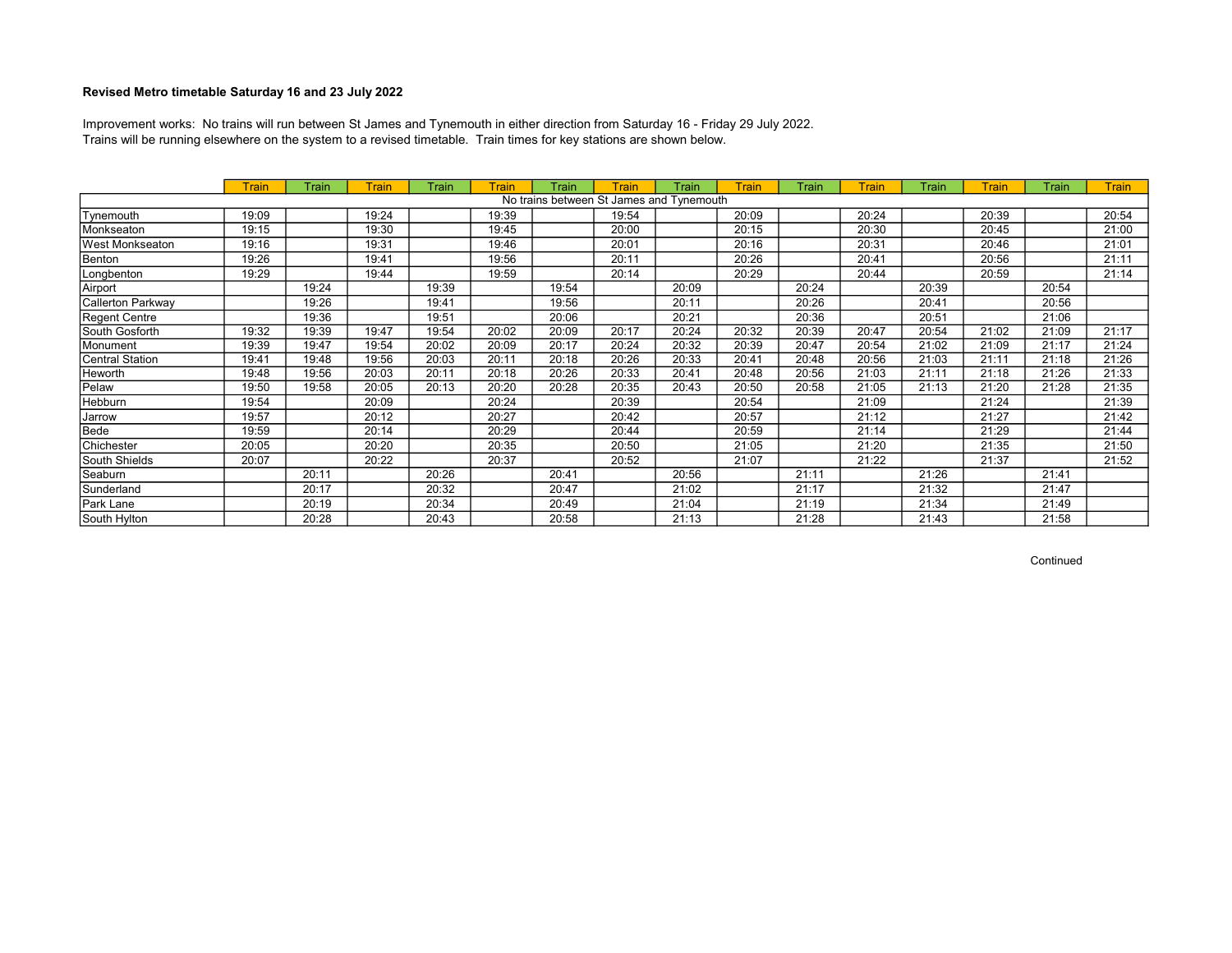Trains will be running elsewhere on the system to a revised timetable. Train times for key stations are shown below. Improvement works: No trains will run between St James and Tynemouth in either direction from Saturday 16 - Friday 29 July 2022.

|                        | <b>Train</b> | Train | Train | Train | Train | Train | Train | Train                                    | Train | Train | <b>Train</b> | Train | <b>Train</b> | Train | <b>Train</b> |
|------------------------|--------------|-------|-------|-------|-------|-------|-------|------------------------------------------|-------|-------|--------------|-------|--------------|-------|--------------|
|                        |              |       |       |       |       |       |       | No trains between St James and Tynemouth |       |       |              |       |              |       |              |
| Tynemouth              | 19:09        |       | 19:24 |       | 19:39 |       | 19:54 |                                          | 20:09 |       | 20:24        |       | 20:39        |       | 20:54        |
| Monkseaton             | 19:15        |       | 19:30 |       | 19:45 |       | 20:00 |                                          | 20:15 |       | 20:30        |       | 20:45        |       | 21:00        |
| <b>West Monkseaton</b> | 19:16        |       | 19:31 |       | 19:46 |       | 20:01 |                                          | 20:16 |       | 20:31        |       | 20:46        |       | 21:01        |
| Benton                 | 19:26        |       | 19:41 |       | 19:56 |       | 20:11 |                                          | 20:26 |       | 20:41        |       | 20:56        |       | 21:11        |
| Longbenton             | 19:29        |       | 19:44 |       | 19:59 |       | 20:14 |                                          | 20:29 |       | 20:44        |       | 20:59        |       | 21:14        |
| Airport                |              | 19:24 |       | 19:39 |       | 19:54 |       | 20:09                                    |       | 20:24 |              | 20:39 |              | 20:54 |              |
| Callerton Parkway      |              | 19:26 |       | 19:41 |       | 19:56 |       | 20:11                                    |       | 20:26 |              | 20:41 |              | 20:56 |              |
| Regent Centre          |              | 19:36 |       | 19:51 |       | 20:06 |       | 20:21                                    |       | 20:36 |              | 20:51 |              | 21:06 |              |
| South Gosforth         | 19:32        | 19:39 | 19:47 | 19:54 | 20:02 | 20:09 | 20:17 | 20:24                                    | 20:32 | 20:39 | 20:47        | 20:54 | 21:02        | 21:09 | 21:17        |
| Monument               | 19:39        | 19:47 | 19:54 | 20:02 | 20:09 | 20:17 | 20:24 | 20:32                                    | 20:39 | 20:47 | 20:54        | 21:02 | 21:09        | 21:17 | 21:24        |
| Central Station        | 19:41        | 19:48 | 19:56 | 20:03 | 20:11 | 20:18 | 20:26 | 20:33                                    | 20:41 | 20:48 | 20:56        | 21:03 | 21:11        | 21:18 | 21:26        |
| Heworth                | 19:48        | 19:56 | 20:03 | 20:11 | 20:18 | 20:26 | 20:33 | 20:41                                    | 20:48 | 20:56 | 21:03        | 21:11 | 21:18        | 21:26 | 21:33        |
| Pelaw                  | 19:50        | 19:58 | 20:05 | 20:13 | 20:20 | 20:28 | 20:35 | 20:43                                    | 20:50 | 20:58 | 21:05        | 21:13 | 21:20        | 21:28 | 21:35        |
| Hebburn                | 19:54        |       | 20:09 |       | 20:24 |       | 20:39 |                                          | 20:54 |       | 21:09        |       | 21:24        |       | 21:39        |
| Jarrow                 | 19:57        |       | 20:12 |       | 20:27 |       | 20:42 |                                          | 20:57 |       | 21:12        |       | 21:27        |       | 21:42        |
| Bede                   | 19:59        |       | 20:14 |       | 20:29 |       | 20:44 |                                          | 20:59 |       | 21:14        |       | 21:29        |       | 21:44        |
| Chichester             | 20:05        |       | 20:20 |       | 20:35 |       | 20:50 |                                          | 21:05 |       | 21:20        |       | 21:35        |       | 21:50        |
| South Shields          | 20:07        |       | 20:22 |       | 20:37 |       | 20:52 |                                          | 21:07 |       | 21:22        |       | 21:37        |       | 21:52        |
| Seaburn                |              | 20:11 |       | 20:26 |       | 20:41 |       | 20:56                                    |       | 21:11 |              | 21:26 |              | 21:41 |              |
| Sunderland             |              | 20:17 |       | 20:32 |       | 20:47 |       | 21:02                                    |       | 21:17 |              | 21:32 |              | 21:47 |              |
| Park Lane              |              | 20:19 |       | 20:34 |       | 20:49 |       | 21:04                                    |       | 21:19 |              | 21:34 |              | 21:49 |              |
| South Hylton           |              | 20:28 |       | 20:43 |       | 20:58 |       | 21:13                                    |       | 21:28 |              | 21:43 |              | 21:58 |              |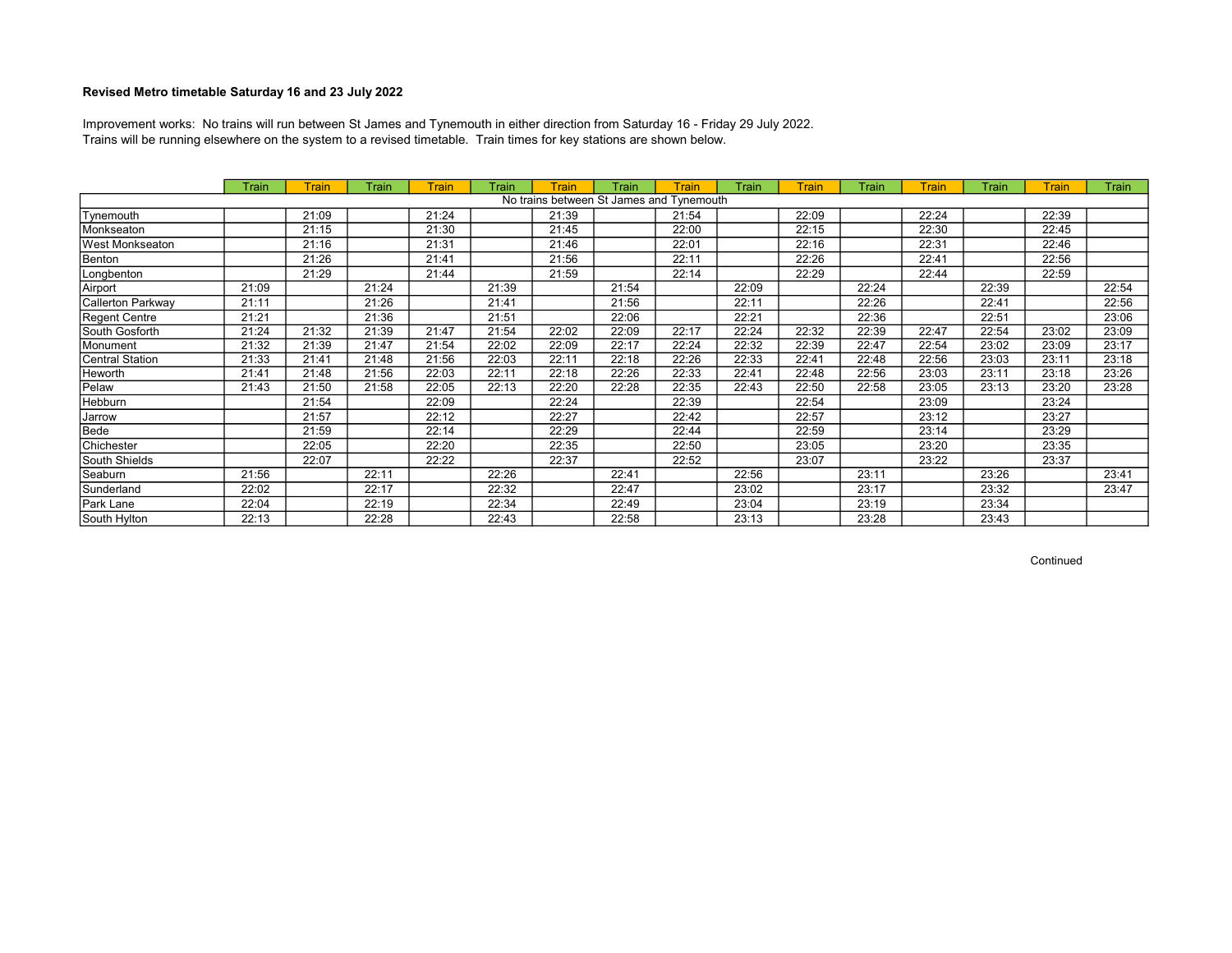Trains will be running elsewhere on the system to a revised timetable. Train times for key stations are shown below. Improvement works: No trains will run between St James and Tynemouth in either direction from Saturday 16 - Friday 29 July 2022.

|                   | Train | Train | Train | Train | Train | Train | Train                                    | Train | Train | <b>Train</b> | Train | Train | Train | Train | Train |
|-------------------|-------|-------|-------|-------|-------|-------|------------------------------------------|-------|-------|--------------|-------|-------|-------|-------|-------|
|                   |       |       |       |       |       |       | No trains between St James and Tynemouth |       |       |              |       |       |       |       |       |
| Tynemouth         |       | 21:09 |       | 21:24 |       | 21:39 |                                          | 21:54 |       | 22:09        |       | 22:24 |       | 22:39 |       |
| Monkseaton        |       | 21:15 |       | 21:30 |       | 21:45 |                                          | 22:00 |       | 22:15        |       | 22:30 |       | 22:45 |       |
| West Monkseaton   |       | 21:16 |       | 21:31 |       | 21:46 |                                          | 22:01 |       | 22:16        |       | 22:31 |       | 22:46 |       |
| Benton            |       | 21:26 |       | 21:41 |       | 21:56 |                                          | 22:11 |       | 22:26        |       | 22:41 |       | 22:56 |       |
| Longbenton        |       | 21:29 |       | 21:44 |       | 21:59 |                                          | 22:14 |       | 22:29        |       | 22:44 |       | 22:59 |       |
| Airport           | 21:09 |       | 21:24 |       | 21:39 |       | 21:54                                    |       | 22:09 |              | 22:24 |       | 22:39 |       | 22:54 |
| Callerton Parkway | 21:11 |       | 21:26 |       | 21:41 |       | 21:56                                    |       | 22:11 |              | 22:26 |       | 22:41 |       | 22:56 |
| Regent Centre     | 21:21 |       | 21:36 |       | 21:51 |       | 22:06                                    |       | 22:21 |              | 22:36 |       | 22:51 |       | 23:06 |
| South Gosforth    | 21:24 | 21:32 | 21:39 | 21:47 | 21:54 | 22:02 | 22:09                                    | 22:17 | 22:24 | 22:32        | 22:39 | 22:47 | 22:54 | 23:02 | 23:09 |
| Monument          | 21:32 | 21:39 | 21:47 | 21:54 | 22:02 | 22:09 | 22:17                                    | 22:24 | 22:32 | 22:39        | 22:47 | 22:54 | 23:02 | 23:09 | 23:17 |
| Central Station   | 21:33 | 21:41 | 21:48 | 21:56 | 22:03 | 22:11 | 22:18                                    | 22:26 | 22:33 | 22:41        | 22:48 | 22:56 | 23:03 | 23:11 | 23:18 |
| Heworth           | 21:41 | 21:48 | 21:56 | 22:03 | 22:11 | 22:18 | 22:26                                    | 22:33 | 22:41 | 22:48        | 22:56 | 23:03 | 23:11 | 23:18 | 23:26 |
| Pelaw             | 21:43 | 21:50 | 21:58 | 22:05 | 22:13 | 22:20 | 22:28                                    | 22:35 | 22:43 | 22:50        | 22:58 | 23:05 | 23:13 | 23:20 | 23:28 |
| Hebburn           |       | 21:54 |       | 22:09 |       | 22:24 |                                          | 22:39 |       | 22:54        |       | 23:09 |       | 23:24 |       |
| Jarrow            |       | 21:57 |       | 22:12 |       | 22:27 |                                          | 22:42 |       | 22:57        |       | 23:12 |       | 23:27 |       |
| Bede              |       | 21:59 |       | 22:14 |       | 22:29 |                                          | 22:44 |       | 22:59        |       | 23:14 |       | 23:29 |       |
| Chichester        |       | 22:05 |       | 22:20 |       | 22:35 |                                          | 22:50 |       | 23:05        |       | 23:20 |       | 23:35 |       |
| South Shields     |       | 22:07 |       | 22:22 |       | 22:37 |                                          | 22:52 |       | 23:07        |       | 23:22 |       | 23:37 |       |
| Seaburn           | 21:56 |       | 22:11 |       | 22:26 |       | 22:41                                    |       | 22:56 |              | 23:11 |       | 23:26 |       | 23:41 |
| Sunderland        | 22:02 |       | 22:17 |       | 22:32 |       | 22:47                                    |       | 23:02 |              | 23:17 |       | 23:32 |       | 23:47 |
| Park Lane         | 22:04 |       | 22:19 |       | 22:34 |       | 22:49                                    |       | 23:04 |              | 23:19 |       | 23:34 |       |       |
| South Hylton      | 22:13 |       | 22:28 |       | 22:43 |       | 22:58                                    |       | 23:13 |              | 23:28 |       | 23:43 |       |       |